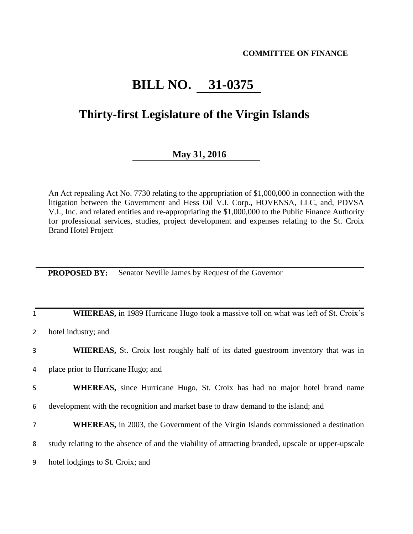### **COMMITTEE ON FINANCE**

# **BILL NO. 31-0375**

## **Thirty-first Legislature of the Virgin Islands**

## **May 31, 2016**

An Act repealing Act No. 7730 relating to the appropriation of \$1,000,000 in connection with the litigation between the Government and Hess Oil V.I. Corp., HOVENSA, LLC, and, PDVSA V.I., Inc. and related entities and re-appropriating the \$1,000,000 to the Public Finance Authority for professional services, studies, project development and expenses relating to the St. Croix Brand Hotel Project

**PROPOSED BY:** Senator Neville James by Request of the Governor

| $\mathbf{1}$   | <b>WHEREAS,</b> in 1989 Hurricane Hugo took a massive toll on what was left of St. Croix's         |
|----------------|----------------------------------------------------------------------------------------------------|
| $\overline{2}$ | hotel industry; and                                                                                |
| 3              | <b>WHEREAS,</b> St. Croix lost roughly half of its dated guestroom inventory that was in           |
| 4              | place prior to Hurricane Hugo; and                                                                 |
| 5              | <b>WHEREAS</b> , since Hurricane Hugo, St. Croix has had no major hotel brand name                 |
| 6              | development with the recognition and market base to draw demand to the island; and                 |
| 7              | <b>WHEREAS</b> , in 2003, the Government of the Virgin Islands commissioned a destination          |
| 8              | study relating to the absence of and the viability of attracting branded, upscale or upper-upscale |
| 9              | hotel lodgings to St. Croix; and                                                                   |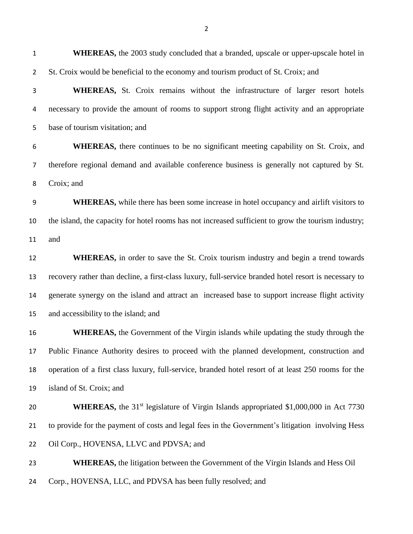**WHEREAS,** the 2003 study concluded that a branded, upscale or upper-upscale hotel in St. Croix would be beneficial to the economy and tourism product of St. Croix; and **WHEREAS,** St. Croix remains without the infrastructure of larger resort hotels necessary to provide the amount of rooms to support strong flight activity and an appropriate base of tourism visitation; and **WHEREAS,** there continues to be no significant meeting capability on St. Croix, and therefore regional demand and available conference business is generally not captured by St. Croix; and **WHEREAS,** while there has been some increase in hotel occupancy and airlift visitors to the island, the capacity for hotel rooms has not increased sufficient to grow the tourism industry; and **WHEREAS**, in order to save the St. Croix tourism industry and begin a trend towards recovery rather than decline, a first-class luxury, full-service branded hotel resort is necessary to generate synergy on the island and attract an increased base to support increase flight activity and accessibility to the island; and **WHEREAS**, the Government of the Virgin islands while updating the study through the Public Finance Authority desires to proceed with the planned development, construction and operation of a first class luxury, full-service, branded hotel resort of at least 250 rooms for the island of St. Croix; and **WHEREAS,** the 31<sup>st</sup> legislature of Virgin Islands appropriated \$1,000,000 in Act 7730 to provide for the payment of costs and legal fees in the Government's litigation involving Hess Oil Corp., HOVENSA, LLVC and PDVSA; and **WHEREAS,** the litigation between the Government of the Virgin Islands and Hess Oil Corp., HOVENSA, LLC, and PDVSA has been fully resolved; and